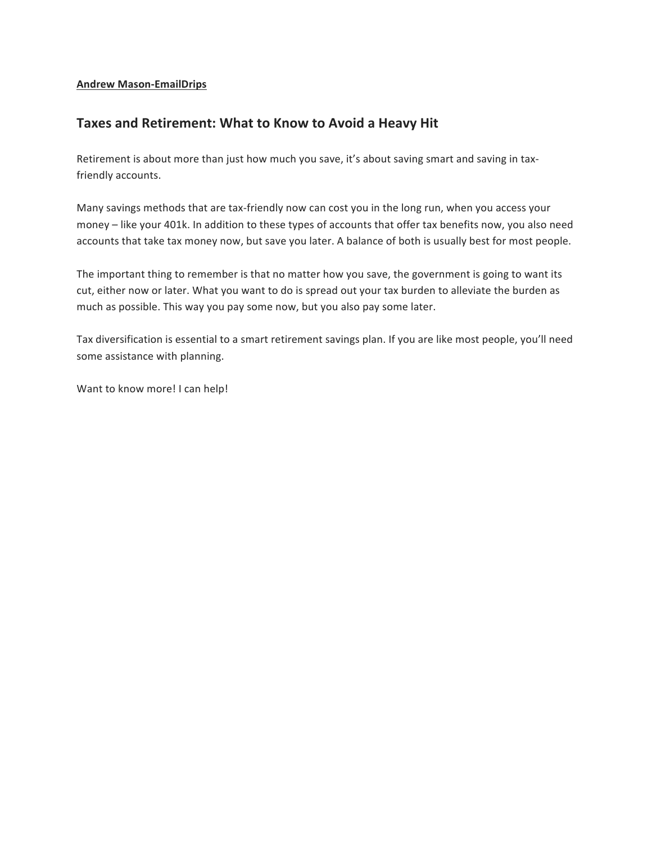#### **Andrew Mason-EmailDrips**

#### Taxes and Retirement: What to Know to Avoid a Heavy Hit

Retirement is about more than just how much you save, it's about saving smart and saving in taxfriendly accounts.

Many savings methods that are tax-friendly now can cost you in the long run, when you access your money – like your 401k. In addition to these types of accounts that offer tax benefits now, you also need accounts that take tax money now, but save you later. A balance of both is usually best for most people.

The important thing to remember is that no matter how you save, the government is going to want its cut, either now or later. What you want to do is spread out your tax burden to alleviate the burden as much as possible. This way you pay some now, but you also pay some later.

Tax diversification is essential to a smart retirement savings plan. If you are like most people, you'll need some assistance with planning.

Want to know more! I can help!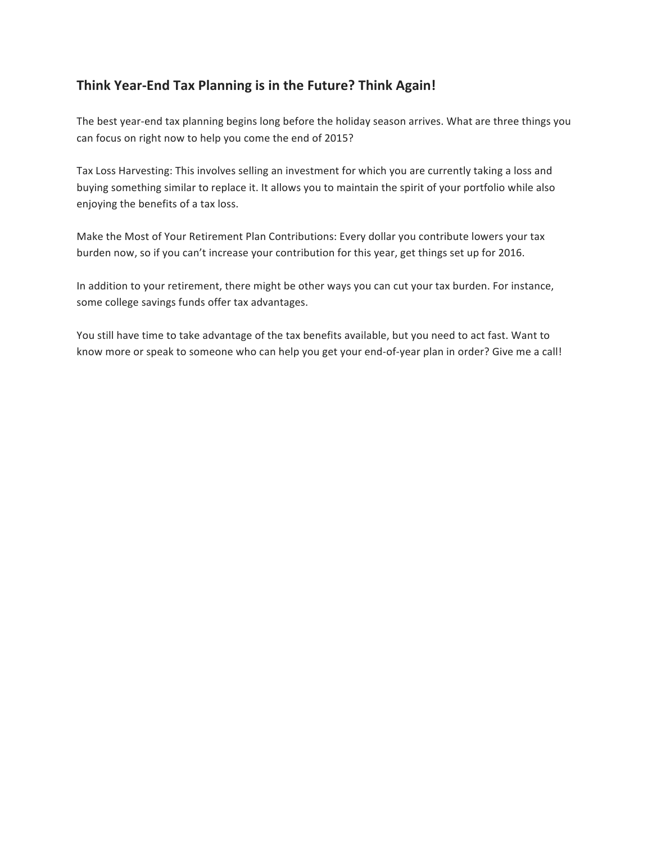## Think Year-End Tax Planning is in the Future? Think Again!

The best year-end tax planning begins long before the holiday season arrives. What are three things you can focus on right now to help you come the end of 2015?

Tax Loss Harvesting: This involves selling an investment for which you are currently taking a loss and buying something similar to replace it. It allows you to maintain the spirit of your portfolio while also enjoying the benefits of a tax loss.

Make the Most of Your Retirement Plan Contributions: Every dollar you contribute lowers your tax burden now, so if you can't increase your contribution for this year, get things set up for 2016.

In addition to your retirement, there might be other ways you can cut your tax burden. For instance, some college savings funds offer tax advantages.

You still have time to take advantage of the tax benefits available, but you need to act fast. Want to know more or speak to someone who can help you get your end-of-year plan in order? Give me a call!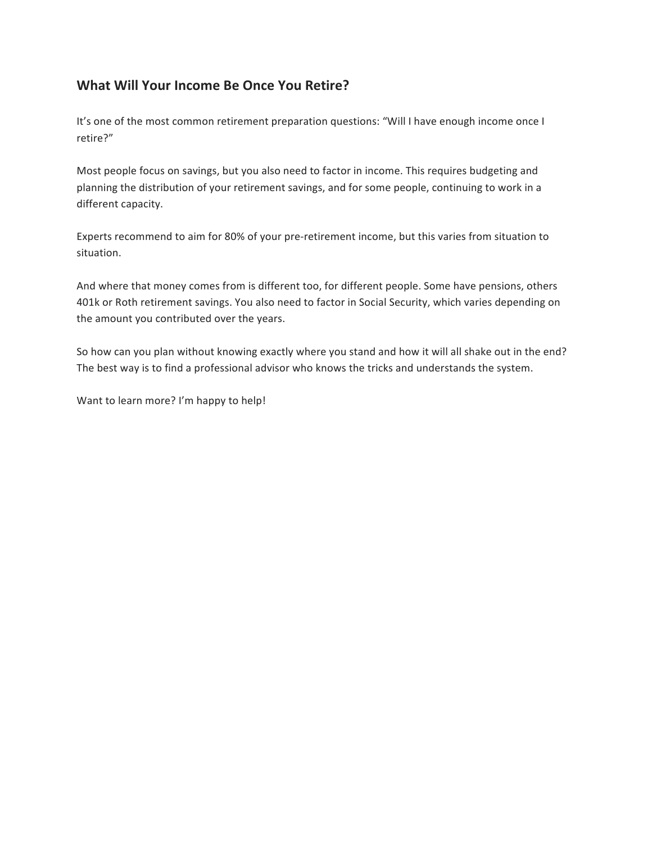### **What Will Your Income Be Once You Retire?**

It's one of the most common retirement preparation questions: "Will I have enough income once I retire?" 

Most people focus on savings, but you also need to factor in income. This requires budgeting and planning the distribution of your retirement savings, and for some people, continuing to work in a different capacity.

Experts recommend to aim for 80% of your pre-retirement income, but this varies from situation to situation.

And where that money comes from is different too, for different people. Some have pensions, others 401k or Roth retirement savings. You also need to factor in Social Security, which varies depending on the amount you contributed over the years.

So how can you plan without knowing exactly where you stand and how it will all shake out in the end? The best way is to find a professional advisor who knows the tricks and understands the system.

Want to learn more? I'm happy to help!